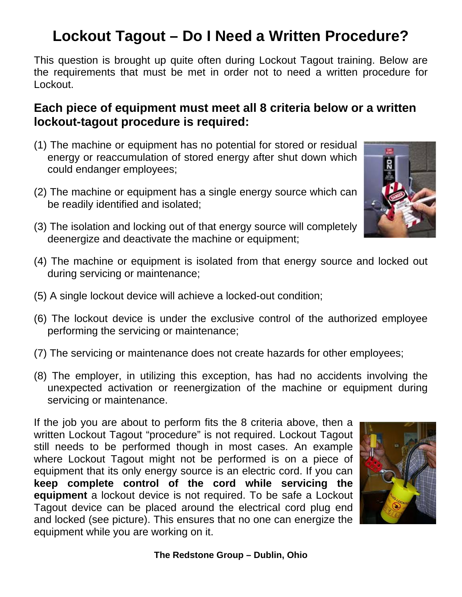## **Lockout Tagout – Do I Need a Written Procedure?**

This question is brought up quite often during Lockout Tagout training. Below are the requirements that must be met in order not to need a written procedure for Lockout.

## **Each piece of equipment must meet all 8 criteria below or a written lockout-tagout procedure is required:**

- (1) The machine or equipment has no potential for stored or residual energy or reaccumulation of stored energy after shut down which could endanger employees;
- (2) The machine or equipment has a single energy source which can be readily identified and isolated;
- (3) The isolation and locking out of that energy source will completely deenergize and deactivate the machine or equipment;
- (4) The machine or equipment is isolated from that energy source and locked out during servicing or maintenance;
- (5) A single lockout device will achieve a locked-out condition;
- (6) The lockout device is under the exclusive control of the authorized employee performing the servicing or maintenance;
- (7) The servicing or maintenance does not create hazards for other employees;
- (8) The employer, in utilizing this exception, has had no accidents involving the unexpected activation or reenergization of the machine or equipment during servicing or maintenance.

If the job you are about to perform fits the 8 criteria above, then a written Lockout Tagout "procedure" is not required. Lockout Tagout still needs to be performed though in most cases. An example where Lockout Tagout might not be performed is on a piece of equipment that its only energy source is an electric cord. If you can **keep complete control of the cord while servicing the equipment** a lockout device is not required. To be safe a Lockout Tagout device can be placed around the electrical cord plug end and locked (see picture). This ensures that no one can energize the equipment while you are working on it.



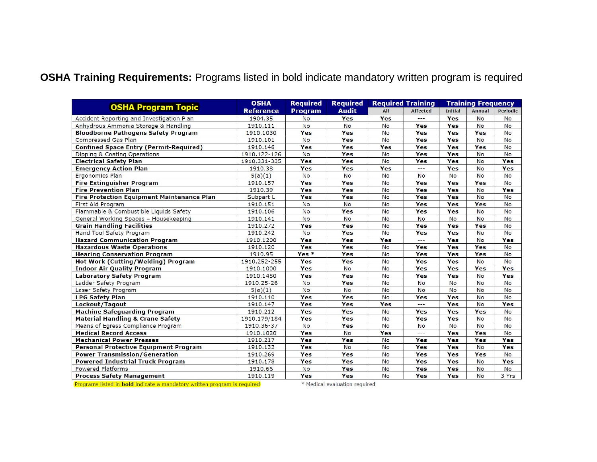## **OSHA Training Requirements:** Programs listed in bold indicate mandatory written program is required

| <b>OSHA Program Topic</b>                         | <b>OSHA</b>      | <b>Required</b> | <b>Required</b> | <b>Required Training</b> |                 |                | <b>Training Frequency</b> |                 |
|---------------------------------------------------|------------------|-----------------|-----------------|--------------------------|-----------------|----------------|---------------------------|-----------------|
|                                                   | <b>Reference</b> | <b>Program</b>  | <b>Audit</b>    | All                      | <b>Affected</b> | <b>Initial</b> | Annual                    | <b>Periodic</b> |
| Accident Reporting and Investigation Plan         | 1904.35          | <b>No</b>       | Yes             | Yes                      | $---$           | Yes            | <b>No</b>                 | <b>No</b>       |
| Anhydrous Ammonia Storage & Handling              | 1910.111         | <b>No</b>       | <b>No</b>       | <b>No</b>                | Yes             | Yes            | <b>No</b>                 | <b>No</b>       |
| <b>Bloodborne Pathogens Safety Program</b>        | 1910.1030        | Yes             | Yes             | No                       | Yes             | Yes            | Yes                       | <b>No</b>       |
| <b>Compressed Gas Plan</b>                        | 1910.101         | <b>No</b>       | Yes             | <b>No</b>                | Yes             | Yes            | <b>No</b>                 | <b>No</b>       |
| <b>Confined Space Entry (Permit-Required)</b>     | 1910.146         | Yes             | Yes             | Yes                      | Yes             | Yes            | Yes                       | <b>No</b>       |
| Dipping & Coating Operations                      | 1910.122-126     | <b>No</b>       | Yes             | <b>No</b>                | Yes             | Yes            | <b>No</b>                 | <b>No</b>       |
| <b>Electrical Safety Plan</b>                     | 1910.331-335     | Yes             | Yes             | <b>No</b>                | <b>Yes</b>      | Yes            | <b>No</b>                 | Yes             |
| <b>Emergency Action Plan</b>                      | 1910.38          | Yes             | Yes             | Yes                      | $---$           | Yes            | <b>No</b>                 | Yes             |
| Ergonomics Plan                                   | 5(a)(1)          | <b>No</b>       | <b>No</b>       | <b>No</b>                | <b>No</b>       | <b>No</b>      | <b>No</b>                 | <b>No</b>       |
| <b>Fire Extinguisher Program</b>                  | 1910.157         | Yes             | Yes             | <b>No</b>                | Yes             | Yes            | Yes                       | <b>No</b>       |
| <b>Fire Prevention Plan</b>                       | 1910.39          | Yes             | Yes             | <b>No</b>                | Yes             | Yes            | <b>No</b>                 | Yes             |
| <b>Fire Protection Equipment Maintenance Plan</b> | Subpart L        | Yes             | Yes             | <b>No</b>                | Yes             | Yes            | <b>No</b>                 | <b>No</b>       |
| First Aid Program                                 | 1910.151         | <b>No</b>       | <b>No</b>       | <b>No</b>                | Yes             | Yes            | Yes                       | <b>No</b>       |
| Flammable & Combustible Liquids Safety            | 1910.106         | <b>No</b>       | Yes             | <b>No</b>                | Yes             | Yes            | No                        | <b>No</b>       |
| General Working Spaces - Housekeeping             | 1910.141         | <b>No</b>       | <b>No</b>       | <b>No</b>                | <b>No</b>       | <b>No</b>      | <b>No</b>                 | No              |
| <b>Grain Handling Facilities</b>                  | 1910.272         | Yes             | Yes             | No                       | Yes             | Yes            | Yes                       | <b>No</b>       |
| Hand Tool Safety Program                          | 1910.242         | <b>No</b>       | Yes             | <b>No</b>                | Yes             | Yes            | <b>No</b>                 | <b>No</b>       |
| <b>Hazard Communication Program</b>               | 1910.1200        | Yes             | Yes             | Yes                      | $---$           | Yes            | <b>No</b>                 | Yes             |
| <b>Hazardous Waste Operations</b>                 | 1910.120         | Yes             | Yes             | <b>No</b>                | Yes             | Yes            | Yes                       | <b>No</b>       |
| <b>Hearing Conservation Program</b>               | 1910.95          | $Yes *$         | Yes             | <b>No</b>                | <b>Yes</b>      | Yes            | Yes                       | <b>No</b>       |
| Hot Work (Cutting/Welding) Program                | 1910.252-255     | Yes             | Yes             | No                       | Yes             | Yes            | <b>No</b>                 | <b>No</b>       |
| <b>Indoor Air Quality Program</b>                 | 1910.1000        | Yes             | <b>No</b>       | <b>No</b>                | Yes             | Yes            | Yes                       | Yes             |
| <b>Laboratory Safety Program</b>                  | 1910.1450        | Yes             | Yes             | <b>No</b>                | Yes             | Yes            | <b>No</b>                 | Yes             |
| Ladder Safety Program                             | 1910.25-26       | <b>No</b>       | Yes             | <b>No</b>                | <b>No</b>       | <b>No</b>      | <b>No</b>                 | <b>No</b>       |
| Laser Safety Program                              | 5(a)(1)          | No              | No              | No                       | No              | <b>No</b>      | No                        | <b>No</b>       |
| <b>LPG Safety Plan</b>                            | 1910.110         | Yes             | Yes             | <b>No</b>                | Yes             | Yes            | <b>No</b>                 | No              |
| Lockout/Tagout                                    | 1910.147         | Yes             | Yes             | Yes                      | ---             | Yes            | No                        | Yes             |
| <b>Machine Safeguarding Program</b>               | 1910.212         | Yes             | Yes             | <b>No</b>                | Yes             | Yes            | Yes                       | No              |
| <b>Material Handling &amp; Crane Safety</b>       | 1910.179/184     | Yes             | Yes             | No                       | Yes             | Yes            | <b>No</b>                 | <b>No</b>       |
| Means of Egress Compliance Program                | 1910.36-37       | <b>No</b>       | Yes             | <b>No</b>                | <b>No</b>       | <b>No</b>      | <b>No</b>                 | <b>No</b>       |
| <b>Medical Record Access</b>                      | 1910.1020        | Yes             | <b>No</b>       | Yes                      | $\overline{a}$  | Yes            | Yes                       | <b>No</b>       |
| <b>Mechanical Power Presses</b>                   | 1910, 217        | Yes             | Yes             | <b>No</b>                | Yes             | Yes            | Yes                       | Yes             |
| <b>Personal Protective Equipment Program</b>      | 1910.132         | Yes             | <b>No</b>       | <b>No</b>                | <b>Yes</b>      | Yes            | <b>No</b>                 | Yes             |
| <b>Power Transmission/Generation</b>              | 1910.269         | Yes             | Yes             | No                       | Yes             | Yes            | Yes                       | <b>No</b>       |
| <b>Powered Industrial Truck Program</b>           | 1910.178         | Yes             | Yes             | <b>No</b>                | Yes             | Yes            | <b>No</b>                 | Yes             |
| <b>Powered Platforms</b>                          | 1910.66          | <b>No</b>       | Yes             | <b>No</b>                | Yes             | Yes            | No                        | <b>No</b>       |
| <b>Process Safety Management</b>                  | 1910.119         | Yes             | Yes             | <b>No</b>                | Yes             | Yes            | <b>No</b>                 | 3 Yrs           |

Programs listed in bold indicate a mandatory written program is required

\* Medical evaluation required